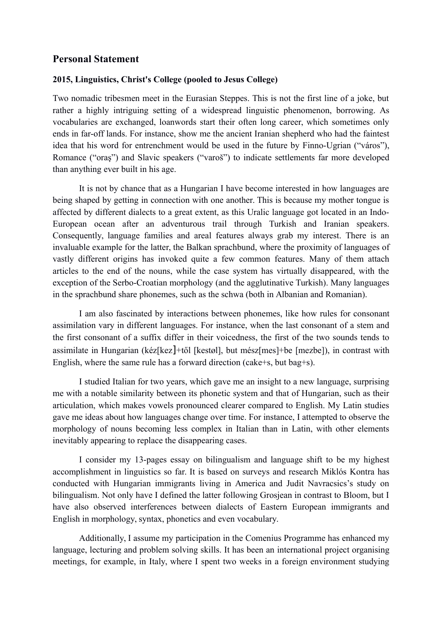## **Personal Statement**

## **2015, Linguistics, Christ's College (pooled to Jesus College)**

Two nomadic tribesmen meet in the Eurasian Steppes. This is not the first line of a joke, but rather a highly intriguing setting of a widespread linguistic phenomenon, borrowing. As vocabularies are exchanged, loanwords start their often long career, which sometimes only ends in far-off lands. For instance, show me the ancient Iranian shepherd who had the faintest idea that his word for entrenchment would be used in the future by Finno-Ugrian ("város"), Romance ("oraş") and Slavic speakers ("varoš") to indicate settlements far more developed than anything ever built in his age.

It is not by chance that as a Hungarian I have become interested in how languages are being shaped by getting in connection with one another. This is because my mother tongue is affected by different dialects to a great extent, as this Uralic language got located in an Indo-European ocean after an adventurous trail through Turkish and Iranian speakers. Consequently, language families and areal features always grab my interest. There is an invaluable example for the latter, the Balkan sprachbund, where the proximity of languages of vastly different origins has invoked quite a few common features. Many of them attach articles to the end of the nouns, while the case system has virtually disappeared, with the exception of the Serbo-Croatian morphology (and the agglutinative Turkish). Many languages in the sprachbund share phonemes, such as the schwa (both in Albanian and Romanian).

I am also fascinated by interactions between phonemes, like how rules for consonant assimilation vary in different languages. For instance, when the last consonant of a stem and the first consonant of a suffix differ in their voicedness, the first of the two sounds tends to assimilate in Hungarian (kéz[kez]+től [kestøl], but mész[mes]+be [mezbe]), in contrast with English, where the same rule has a forward direction (cake+s, but bag+s).

I studied Italian for two years, which gave me an insight to a new language, surprising me with a notable similarity between its phonetic system and that of Hungarian, such as their articulation, which makes vowels pronounced clearer compared to English. My Latin studies gave me ideas about how languages change over time. For instance, I attempted to observe the morphology of nouns becoming less complex in Italian than in Latin, with other elements inevitably appearing to replace the disappearing cases.

I consider my 13-pages essay on bilingualism and language shift to be my highest accomplishment in linguistics so far. It is based on surveys and research Miklós Kontra has conducted with Hungarian immigrants living in America and Judit Navracsics's study on bilingualism. Not only have I defined the latter following Grosjean in contrast to Bloom, but I have also observed interferences between dialects of Eastern European immigrants and English in morphology, syntax, phonetics and even vocabulary.

Additionally, I assume my participation in the Comenius Programme has enhanced my language, lecturing and problem solving skills. It has been an international project organising meetings, for example, in Italy, where I spent two weeks in a foreign environment studying